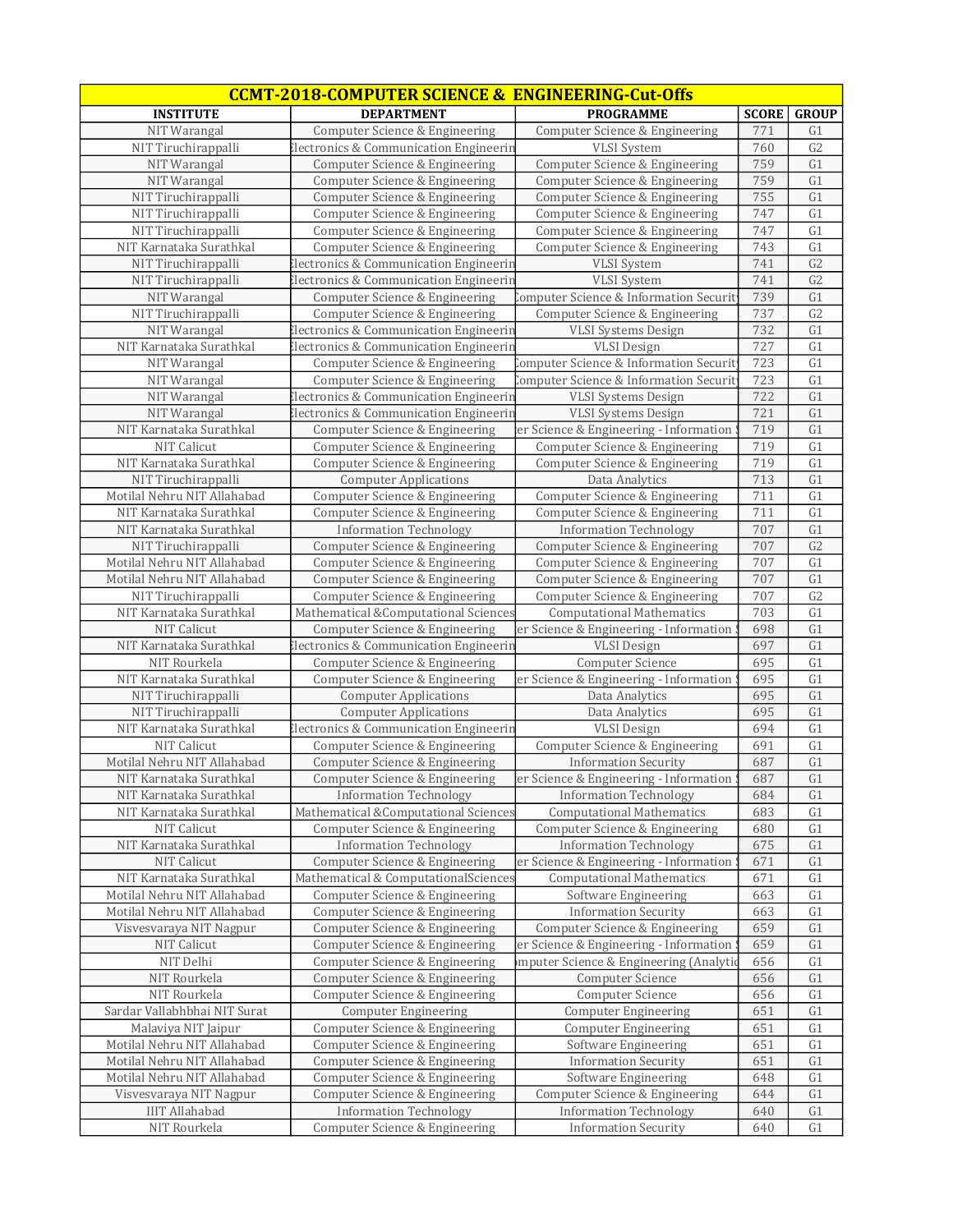|                                                        | <b>CCMT-2018-COMPUTER SCIENCE &amp; ENGINEERING-Cut-Offs</b>                        |                                                               |              |                      |
|--------------------------------------------------------|-------------------------------------------------------------------------------------|---------------------------------------------------------------|--------------|----------------------|
| <b>INSTITUTE</b>                                       | <b>DEPARTMENT</b>                                                                   | <b>PROGRAMME</b>                                              | <b>SCORE</b> | <b>GROUP</b>         |
| NIT Warangal                                           | Computer Science & Engineering                                                      | Computer Science & Engineering                                | 771          | G <sub>1</sub>       |
| NIT Tiruchirappalli                                    | Electronics & Communication Engineerin                                              | <b>VLSI</b> System                                            | 760          | G <sub>2</sub>       |
| NIT Warangal                                           | Computer Science & Engineering                                                      | Computer Science & Engineering                                | 759          | G <sub>1</sub>       |
| NIT Warangal                                           | Computer Science & Engineering                                                      | Computer Science & Engineering                                | 759          | G1                   |
| NIT Tiruchirappalli                                    | Computer Science & Engineering                                                      | Computer Science & Engineering                                | 755          | G1                   |
| NIT Tiruchirappalli                                    | Computer Science & Engineering                                                      | Computer Science & Engineering                                | 747          | G1                   |
| NIT Tiruchirappalli                                    | Computer Science & Engineering                                                      | Computer Science & Engineering                                | 747          | G1                   |
| NIT Karnataka Surathkal                                | Computer Science & Engineering                                                      | Computer Science & Engineering                                | 743          | G1                   |
| NIT Tiruchirappalli                                    | Electronics & Communication Engineerin                                              | <b>VLSI</b> System                                            | 741          | G <sub>2</sub>       |
| NIT Tiruchirappalli                                    | lectronics & Communication Engineerin                                               | <b>VLSI</b> System                                            | 741          | G <sub>2</sub>       |
| NIT Warangal                                           | Computer Science & Engineering                                                      | Computer Science & Information Security                       | 739          | G1                   |
| NIT Tiruchirappalli                                    | Computer Science & Engineering                                                      | Computer Science & Engineering                                | 737          | G2                   |
| NIT Warangal                                           | Electronics & Communication Engineerin                                              | <b>VLSI Systems Design</b>                                    | 732          | G1                   |
| NIT Karnataka Surathkal                                | <b>Electronics &amp; Communication Engineerin</b>                                   | <b>VLSI</b> Design                                            | 727          | G1                   |
| NIT Warangal                                           | Computer Science & Engineering                                                      | Computer Science & Information Securit                        | 723          | G1                   |
| NIT Warangal                                           | Computer Science & Engineering                                                      | Computer Science & Information Securit                        | 723          | G1                   |
| NIT Warangal                                           | Electronics & Communication Engineerin                                              | <b>VLSI Systems Design</b>                                    | 722          | G1                   |
| NIT Warangal                                           | <b>Electronics &amp; Communication Engineerin</b>                                   | <b>VLSI Systems Design</b>                                    | 721          | G1                   |
| NIT Karnataka Surathkal                                | Computer Science & Engineering                                                      | er Science & Engineering - Information                        | 719          | G1                   |
| NIT Calicut                                            |                                                                                     |                                                               | 719          | G1                   |
| NIT Karnataka Surathkal                                | Computer Science & Engineering                                                      | Computer Science & Engineering                                | 719          | G1                   |
| NIT Tiruchirappalli                                    | Computer Science & Engineering                                                      | Computer Science & Engineering<br>Data Analytics              | 713          | G1                   |
|                                                        | <b>Computer Applications</b>                                                        | Computer Science & Engineering                                |              |                      |
| Motilal Nehru NIT Allahabad<br>NIT Karnataka Surathkal | Computer Science & Engineering                                                      |                                                               | 711<br>711   | G1<br>G1             |
| NIT Karnataka Surathkal                                | Computer Science & Engineering<br><b>Information Technology</b>                     | Computer Science & Engineering                                | 707          | G1                   |
| NIT Tiruchirappalli                                    |                                                                                     | <b>Information Technology</b>                                 | 707          | G <sub>2</sub>       |
| Motilal Nehru NIT Allahabad                            | Computer Science & Engineering                                                      | Computer Science & Engineering                                | 707          | G1                   |
| Motilal Nehru NIT Allahabad                            | Computer Science & Engineering                                                      | Computer Science & Engineering                                | 707          | G1                   |
| NIT Tiruchirappalli                                    | Computer Science & Engineering                                                      | Computer Science & Engineering                                | 707          | G <sub>2</sub>       |
| NIT Karnataka Surathkal                                | Computer Science & Engineering<br>Mathematical &Computational Sciences              | Computer Science & Engineering                                | 703          | $\overline{G1}$      |
| <b>NIT Calicut</b>                                     |                                                                                     | <b>Computational Mathematics</b>                              | 698          | G1                   |
| NIT Karnataka Surathkal                                | Computer Science & Engineering<br><b>Electronics &amp; Communication Engineerin</b> | er Science & Engineering - Information<br><b>VLSI</b> Design  | 697          | G1                   |
| NIT Rourkela                                           |                                                                                     |                                                               | 695          | G1                   |
| NIT Karnataka Surathkal                                | Computer Science & Engineering                                                      | Computer Science<br>er Science & Engineering - Information    | 695          | G1                   |
| NIT Tiruchirappalli                                    | Computer Science & Engineering<br><b>Computer Applications</b>                      | Data Analytics                                                | 695          | G1                   |
| NIT Tiruchirappalli                                    | <b>Computer Applications</b>                                                        | Data Analytics                                                | 695          | G1                   |
| NIT Karnataka Surathkal                                | lectronics & Communication Engineerin                                               | <b>VLSI</b> Design                                            | 694          | G1                   |
| NIT Calicut                                            |                                                                                     |                                                               |              | G1                   |
| Motilal Nehru NIT Allahabad                            | Computer Science & Engineering<br>Computer Science & Engineering                    | Computer Science & Engineering<br><b>Information Security</b> | 691<br>687   | G1                   |
|                                                        |                                                                                     |                                                               | 687          | G <sub>1</sub>       |
| NIT Karnataka Surathkal                                | Computer Science & Engineering                                                      | er Science & Engineering - Information                        |              |                      |
| NIT Karnataka Surathkal<br>NIT Karnataka Surathkal     | <b>Information Technology</b><br>Mathematical &Computational Sciences               | <b>Information Technology</b>                                 | 684          | G <sub>1</sub>       |
|                                                        | Computer Science & Engineering                                                      | <b>Computational Mathematics</b>                              | 683<br>680   | G <sub>1</sub><br>G1 |
| NIT Calicut                                            |                                                                                     | Computer Science & Engineering                                |              |                      |
| NIT Karnataka Surathkal                                | <b>Information Technology</b>                                                       | <b>Information Technology</b>                                 | 675          | G1                   |
| NIT Calicut                                            | Computer Science & Engineering                                                      | er Science & Engineering - Information                        | 671          | G1                   |
| NIT Karnataka Surathkal                                | Mathematical & ComputationalSciences                                                | <b>Computational Mathematics</b>                              | 671          | G1                   |
| Motilal Nehru NIT Allahabad                            | Computer Science & Engineering                                                      | Software Engineering                                          | 663          | G1                   |
| Motilal Nehru NIT Allahabad                            | Computer Science & Engineering                                                      | <b>Information Security</b>                                   | 663          | G1                   |
| Visvesvaraya NIT Nagpur                                | Computer Science & Engineering                                                      | Computer Science & Engineering                                | 659          | G1                   |
| NIT Calicut                                            | Computer Science & Engineering                                                      | er Science & Engineering - Information:                       | 659          | G1                   |
| NIT Delhi                                              | Computer Science & Engineering                                                      | mputer Science & Engineering (Analytio                        | 656          | G1                   |
| NIT Rourkela                                           | Computer Science & Engineering                                                      | Computer Science                                              | 656          | G1                   |
| NIT Rourkela                                           | Computer Science & Engineering                                                      | Computer Science                                              | 656          | G1                   |
| Sardar Vallabhbhai NIT Surat                           | <b>Computer Engineering</b>                                                         | <b>Computer Engineering</b>                                   | 651          | G1                   |
| Malaviya NIT Jaipur                                    | Computer Science & Engineering                                                      | Computer Engineering                                          | 651          | G <sub>1</sub>       |
| Motilal Nehru NIT Allahabad                            | Computer Science & Engineering                                                      | Software Engineering                                          | 651          | G1                   |
| Motilal Nehru NIT Allahabad                            | Computer Science & Engineering                                                      | <b>Information Security</b>                                   | 651          | G1                   |
| Motilal Nehru NIT Allahabad                            | Computer Science & Engineering                                                      | Software Engineering                                          | 648          | G1                   |
| Visvesvaraya NIT Nagpur                                | Computer Science & Engineering                                                      | Computer Science & Engineering                                | 644          | G1                   |
| <b>IIIT Allahabad</b>                                  | <b>Information Technology</b>                                                       | <b>Information Technology</b>                                 | 640          | G1                   |
| NIT Rourkela                                           | Computer Science & Engineering                                                      | <b>Information Security</b>                                   | 640          | G <sub>1</sub>       |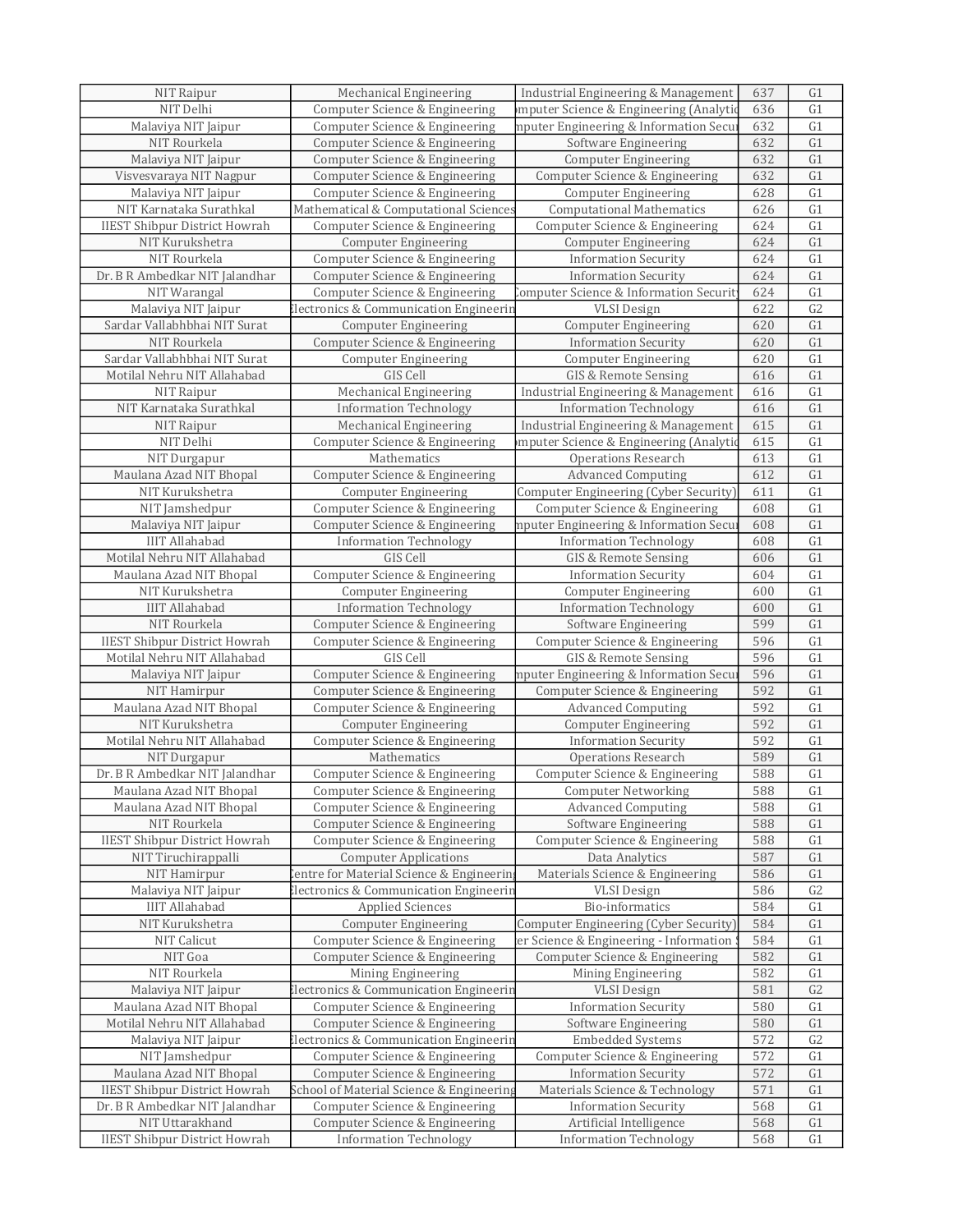| NIT Raipur                           | <b>Mechanical Engineering</b>                     | Industrial Engineering & Management       | 637 | G <sub>1</sub>  |
|--------------------------------------|---------------------------------------------------|-------------------------------------------|-----|-----------------|
| NIT Delhi                            | Computer Science & Engineering                    | mputer Science & Engineering (Analytio    | 636 | G1              |
| Malaviya NIT Jaipur                  | Computer Science & Engineering                    | mputer Engineering & Information Secui    | 632 | G1              |
| NIT Rourkela                         | Computer Science & Engineering                    | Software Engineering                      | 632 | G1              |
| Malaviya NIT Jaipur                  | Computer Science & Engineering                    | <b>Computer Engineering</b>               | 632 | G1              |
| Visvesvaraya NIT Nagpur              | Computer Science & Engineering                    | Computer Science & Engineering            | 632 | G1              |
|                                      |                                                   |                                           |     |                 |
| Malaviya NIT Jaipur                  | Computer Science & Engineering                    | <b>Computer Engineering</b>               | 628 | $\overline{G1}$ |
| NIT Karnataka Surathkal              | Mathematical & Computational Sciences             | <b>Computational Mathematics</b>          | 626 | G1              |
| <b>IIEST Shibpur District Howrah</b> | Computer Science & Engineering                    | Computer Science & Engineering            | 624 | G1              |
| NIT Kurukshetra                      | <b>Computer Engineering</b>                       | <b>Computer Engineering</b>               | 624 | G1              |
| NIT Rourkela                         | Computer Science & Engineering                    | <b>Information Security</b>               | 624 | G1              |
| Dr. B R Ambedkar NIT Jalandhar       | Computer Science & Engineering                    | <b>Information Security</b>               | 624 | G1              |
| NIT Warangal                         | Computer Science & Engineering                    | Computer Science & Information Securition | 624 | G1              |
| Malaviya NIT Jaipur                  | lectronics & Communication Engineerin             | <b>VLSI</b> Design                        | 622 | G <sub>2</sub>  |
| Sardar Vallabhbhai NIT Surat         | <b>Computer Engineering</b>                       | <b>Computer Engineering</b>               | 620 | G1              |
| NIT Rourkela                         | Computer Science & Engineering                    | <b>Information Security</b>               | 620 | G1              |
| Sardar Vallabhbhai NIT Surat         |                                                   |                                           | 620 | G1              |
|                                      | <b>Computer Engineering</b>                       | <b>Computer Engineering</b>               |     |                 |
| Motilal Nehru NIT Allahabad          | GIS Cell                                          | GIS & Remote Sensing                      | 616 | G1              |
| NIT Raipur                           | Mechanical Engineering                            | Industrial Engineering & Management       | 616 | G1              |
| NIT Karnataka Surathkal              | <b>Information Technology</b>                     | <b>Information Technology</b>             | 616 | G1              |
| NIT Raipur                           | <b>Mechanical Engineering</b>                     | Industrial Engineering & Management       | 615 | G1              |
| NIT Delhi                            | Computer Science & Engineering                    | mputer Science & Engineering (Analytio    | 615 | G1              |
| NIT Durgapur                         | Mathematics                                       | <b>Operations Research</b>                | 613 | G1              |
| Maulana Azad NIT Bhopal              | Computer Science & Engineering                    | <b>Advanced Computing</b>                 | 612 | G1              |
| NIT Kurukshetra                      | <b>Computer Engineering</b>                       | Computer Engineering (Cyber Security)     | 611 | G1              |
| NIT Jamshedpur                       | Computer Science & Engineering                    | Computer Science & Engineering            | 608 | G1              |
| Malaviya NIT Jaipur                  | Computer Science & Engineering                    | mputer Engineering & Information Secu     | 608 | G1              |
| <b>IIIT Allahabad</b>                |                                                   |                                           | 608 | G1              |
|                                      | <b>Information Technology</b>                     | <b>Information Technology</b>             |     | G1              |
| Motilal Nehru NIT Allahabad          | GIS Cell                                          | GIS & Remote Sensing                      | 606 |                 |
| Maulana Azad NIT Bhopal              | Computer Science & Engineering                    | <b>Information Security</b>               | 604 | G1              |
| NIT Kurukshetra                      | <b>Computer Engineering</b>                       | <b>Computer Engineering</b>               | 600 | G1              |
| <b>IIIT Allahabad</b>                | <b>Information Technology</b>                     | <b>Information Technology</b>             | 600 | G1              |
| NIT Rourkela                         | Computer Science & Engineering                    | Software Engineering                      | 599 | G1              |
| <b>IIEST Shibpur District Howrah</b> | Computer Science & Engineering                    | Computer Science & Engineering            | 596 | G1              |
| Motilal Nehru NIT Allahabad          | GIS Cell                                          | GIS & Remote Sensing                      | 596 | G1              |
| Malaviya NIT Jaipur                  | Computer Science & Engineering                    | mputer Engineering & Information Secu     | 596 | G1              |
| NIT Hamirpur                         | Computer Science & Engineering                    | Computer Science & Engineering            | 592 | G1              |
| Maulana Azad NIT Bhopal              | Computer Science & Engineering                    | <b>Advanced Computing</b>                 | 592 | G1              |
| NIT Kurukshetra                      | <b>Computer Engineering</b>                       | <b>Computer Engineering</b>               | 592 | $\overline{G1}$ |
| Motilal Nehru NIT Allahabad          | Computer Science & Engineering                    | <b>Information Security</b>               | 592 | G1              |
|                                      |                                                   |                                           |     |                 |
| NIT Durgapur                         | Mathematics                                       | <b>Operations Research</b>                | 589 | G1              |
| Dr. B R Ambedkar NIT Jalandhar       | Computer Science & Engineering                    | Computer Science & Engineering            | 588 | G <sub>1</sub>  |
| Maulana Azad NIT Bhopal              | Computer Science & Engineering                    | <b>Computer Networking</b>                | 588 | G1              |
| Maulana Azad NIT Bhopal              | Computer Science & Engineering                    | <b>Advanced Computing</b>                 | 588 | G <sub>1</sub>  |
| NIT Rourkela                         | Computer Science & Engineering                    | Software Engineering                      | 588 | G <sub>1</sub>  |
| <b>IIEST Shibpur District Howrah</b> | Computer Science & Engineering                    | Computer Science & Engineering            | 588 | G <sub>1</sub>  |
| NIT Tiruchirappalli                  | <b>Computer Applications</b>                      | Data Analytics                            | 587 | G1              |
| NIT Hamirpur                         | entre for Material Science & Engineerin           | Materials Science & Engineering           | 586 | G1              |
| Malaviya NIT Jaipur                  | <b>Electronics &amp; Communication Engineerin</b> | <b>VLSI</b> Design                        | 586 | G <sub>2</sub>  |
| <b>IIIT Allahabad</b>                | <b>Applied Sciences</b>                           | Bio-informatics                           | 584 | G <sub>1</sub>  |
| NIT Kurukshetra                      | <b>Computer Engineering</b>                       | Computer Engineering (Cyber Security)     | 584 | G <sub>1</sub>  |
| NIT Calicut                          | Computer Science & Engineering                    | er Science & Engineering - Information !  | 584 | G1              |
| NIT Goa                              | Computer Science & Engineering                    | Computer Science & Engineering            | 582 | G1              |
| NIT Rourkela                         | Mining Engineering                                |                                           | 582 | G1              |
|                                      |                                                   | Mining Engineering                        |     |                 |
| Malaviya NIT Jaipur                  | <b>Electronics &amp; Communication Engineerin</b> | <b>VLSI</b> Design                        | 581 | G2              |
| Maulana Azad NIT Bhopal              | Computer Science & Engineering                    | <b>Information Security</b>               | 580 | G1              |
| Motilal Nehru NIT Allahabad          | Computer Science & Engineering                    | Software Engineering                      | 580 | G1              |
| Malaviya NIT Jaipur                  | <b>Electronics &amp; Communication Engineerin</b> | <b>Embedded Systems</b>                   | 572 | G2              |
| NIT Jamshedpur                       | Computer Science & Engineering                    | Computer Science & Engineering            | 572 | G1              |
| Maulana Azad NIT Bhopal              | Computer Science & Engineering                    | <b>Information Security</b>               | 572 | G1              |
| <b>IIEST Shibpur District Howrah</b> | School of Material Science & Engineering          | Materials Science & Technology            | 571 | G1              |
| Dr. B R Ambedkar NIT Jalandhar       | Computer Science & Engineering                    | <b>Information Security</b>               | 568 | G1              |
| NIT Uttarakhand                      | Computer Science & Engineering                    | Artificial Intelligence                   | 568 | G1              |
| <b>IIEST Shibpur District Howrah</b> | <b>Information Technology</b>                     | <b>Information Technology</b>             | 568 | G1              |
|                                      |                                                   |                                           |     |                 |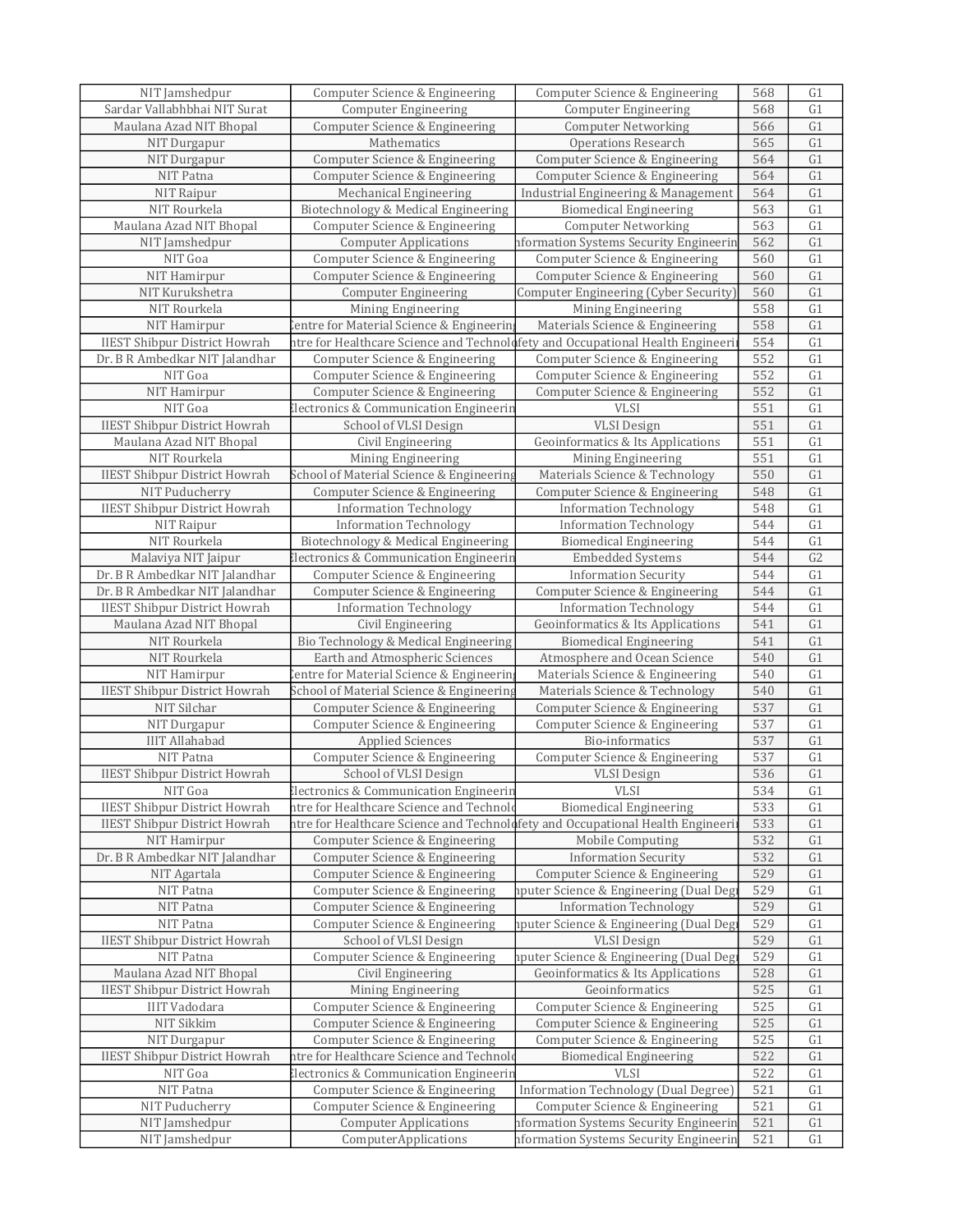| NIT Jamshedpur                       | Computer Science & Engineering                                                 | Computer Science & Engineering               | 568 | G <sub>1</sub>  |
|--------------------------------------|--------------------------------------------------------------------------------|----------------------------------------------|-----|-----------------|
| Sardar Vallabhbhai NIT Surat         | <b>Computer Engineering</b>                                                    | <b>Computer Engineering</b>                  | 568 | G1              |
| Maulana Azad NIT Bhopal              | Computer Science & Engineering                                                 | <b>Computer Networking</b>                   | 566 | G1              |
| NIT Durgapur                         | Mathematics                                                                    | <b>Operations Research</b>                   | 565 | G1              |
| NIT Durgapur                         | Computer Science & Engineering                                                 | Computer Science & Engineering               | 564 | G1              |
| NIT Patna                            | Computer Science & Engineering                                                 | Computer Science & Engineering               | 564 | G1              |
| NIT Raipur                           | <b>Mechanical Engineering</b>                                                  | Industrial Engineering & Management          | 564 | G1              |
| NIT Rourkela                         | Biotechnology & Medical Engineering                                            | <b>Biomedical Engineering</b>                | 563 | G1              |
| Maulana Azad NIT Bhopal              | Computer Science & Engineering                                                 | <b>Computer Networking</b>                   | 563 | G1              |
| NIT Jamshedpur                       | <b>Computer Applications</b>                                                   | nformation Systems Security Engineerin       | 562 | G1              |
| NIT Goa                              | Computer Science & Engineering                                                 | Computer Science & Engineering               | 560 | G1              |
| NIT Hamirpur                         | Computer Science & Engineering                                                 | Computer Science & Engineering               | 560 | G1              |
| NIT Kurukshetra                      | <b>Computer Engineering</b>                                                    | Computer Engineering (Cyber Security)        | 560 | G1              |
| NIT Rourkela                         | Mining Engineering                                                             | Mining Engineering                           | 558 | G1              |
| NIT Hamirpur                         | Centre for Material Science & Engineering                                      | Materials Science & Engineering              | 558 | G1              |
| <b>IIEST Shibpur District Howrah</b> | ntre for Healthcare Science and Technolofety and Occupational Health Engineeri |                                              | 554 | $\overline{G1}$ |
| Dr. B R Ambedkar NIT Jalandhar       | Computer Science & Engineering                                                 | Computer Science & Engineering               | 552 | G1              |
| NIT Goa                              | Computer Science & Engineering                                                 | Computer Science & Engineering               | 552 | G1              |
| NIT Hamirpur                         | Computer Science & Engineering                                                 | Computer Science & Engineering               | 552 | G1              |
| NIT Goa                              | <b>Electronics &amp; Communication Engineerin</b>                              | <b>VLSI</b>                                  | 551 | G1              |
| <b>IIEST Shibpur District Howrah</b> |                                                                                | <b>VLSI</b> Design                           | 551 | G1              |
| Maulana Azad NIT Bhopal              | School of VLSI Design                                                          | Geoinformatics & Its Applications            | 551 | G1              |
|                                      | Civil Engineering<br>Mining Engineering                                        |                                              |     |                 |
| NIT Rourkela                         |                                                                                | Mining Engineering                           | 551 | G1              |
| <b>IIEST Shibpur District Howrah</b> | School of Material Science & Engineering                                       | Materials Science & Technology               | 550 | G1              |
| NIT Puducherry                       | Computer Science & Engineering                                                 | Computer Science & Engineering               | 548 | G1              |
| <b>IIEST Shibpur District Howrah</b> | <b>Information Technology</b>                                                  | <b>Information Technology</b>                | 548 | G1              |
| NIT Raipur                           | <b>Information Technology</b>                                                  | <b>Information Technology</b>                | 544 | G1              |
| NIT Rourkela                         | Biotechnology & Medical Engineering                                            | <b>Biomedical Engineering</b>                | 544 | G1              |
| Malaviya NIT Jaipur                  | <b>Electronics &amp; Communication Engineerin</b>                              | <b>Embedded Systems</b>                      | 544 | G2              |
| Dr. B R Ambedkar NIT Jalandhar       | Computer Science & Engineering                                                 | <b>Information Security</b>                  | 544 | G1              |
| Dr. B R Ambedkar NIT Jalandhar       | Computer Science & Engineering                                                 | Computer Science & Engineering               | 544 | G1              |
| <b>IIEST Shibpur District Howrah</b> | <b>Information Technology</b>                                                  | <b>Information Technology</b>                | 544 | G1              |
| Maulana Azad NIT Bhopal              | Civil Engineering                                                              | <b>Geoinformatics &amp; Its Applications</b> | 541 | G1              |
| NIT Rourkela                         | Bio Technology & Medical Engineering                                           | <b>Biomedical Engineering</b>                | 541 | G1              |
| NIT Rourkela                         | Earth and Atmospheric Sciences                                                 | Atmosphere and Ocean Science                 | 540 | G1              |
| NIT Hamirpur                         | entre for Material Science & Engineerin                                        | Materials Science & Engineering              | 540 | G1              |
| <b>IIEST Shibpur District Howrah</b> | School of Material Science & Engineering                                       | Materials Science & Technology               | 540 | G1              |
| NIT Silchar                          | Computer Science & Engineering                                                 | Computer Science & Engineering               | 537 | G1              |
| NIT Durgapur                         | Computer Science & Engineering                                                 | Computer Science & Engineering               | 537 | $\overline{G1}$ |
| <b>IIIT Allahabad</b>                | <b>Applied Sciences</b>                                                        | Bio-informatics                              | 537 | G1              |
| NIT Patna                            | Computer Science & Engineering                                                 | Computer Science & Engineering               | 537 | G1              |
| <b>IIEST Shibpur District Howrah</b> | School of VLSI Design                                                          | <b>VLSI</b> Design                           | 536 | $\overline{G1}$ |
| NIT Goa                              | Electronics & Communication Engineerin                                         | <b>VLSI</b>                                  | 534 | G1              |
| <b>IIEST Shibpur District Howrah</b> | ntre for Healthcare Science and Technolo                                       | <b>Biomedical Engineering</b>                | 533 | G <sub>1</sub>  |
| <b>IIEST Shibpur District Howrah</b> | ntre for Healthcare Science and Technolofety and Occupational Health Engineeri |                                              | 533 | G1              |
| NIT Hamirpur                         | Computer Science & Engineering                                                 | Mobile Computing                             | 532 | G <sub>1</sub>  |
| Dr. B R Ambedkar NIT Jalandhar       | Computer Science & Engineering                                                 | <b>Information Security</b>                  | 532 | G1              |
| NIT Agartala                         | Computer Science & Engineering                                                 | Computer Science & Engineering               | 529 | G1              |
| NIT Patna                            | Computer Science & Engineering                                                 | 1915 nputer Science & Engineering (Dual Deg  | 529 | G1              |
| NIT Patna                            | Computer Science & Engineering                                                 | <b>Information Technology</b>                | 529 | G <sub>1</sub>  |
| NIT Patna                            | Computer Science & Engineering                                                 | iputer Science & Engineering (Dual Deg       | 529 | G1              |
| <b>IIEST Shibpur District Howrah</b> | School of VLSI Design                                                          | <b>VLSI</b> Design                           | 529 | G1              |
| NIT Patna                            | Computer Science & Engineering                                                 | nputer Science & Engineering (Dual Degi      | 529 | G1              |
| Maulana Azad NIT Bhopal              | Civil Engineering                                                              | Geoinformatics & Its Applications            | 528 | G1              |
| <b>IIEST Shibpur District Howrah</b> | Mining Engineering                                                             | Geoinformatics                               | 525 | G1              |
| <b>IIIT Vadodara</b>                 | Computer Science & Engineering                                                 | Computer Science & Engineering               | 525 | G1              |
| NIT Sikkim                           | Computer Science & Engineering                                                 | Computer Science & Engineering               | 525 | G1              |
| NIT Durgapur                         | Computer Science & Engineering                                                 | Computer Science & Engineering               | 525 | G1              |
| <b>IIEST Shibpur District Howrah</b> | ntre for Healthcare Science and Technolo                                       | <b>Biomedical Engineering</b>                | 522 | G1              |
| NIT Goa                              | <b>Electronics &amp; Communication Engineerin</b>                              | <b>VLSI</b>                                  | 522 | G1              |
| NIT Patna                            | Computer Science & Engineering                                                 | Information Technology (Dual Degree)         | 521 | G1              |
| NIT Puducherry                       | Computer Science & Engineering                                                 | Computer Science & Engineering               | 521 | G1              |
| NIT Jamshedpur                       | <b>Computer Applications</b>                                                   | nformation Systems Security Engineerin       | 521 | G <sub>1</sub>  |
| NIT Jamshedpur                       | ComputerApplications                                                           | nformation Systems Security Engineerin       | 521 | G1              |
|                                      |                                                                                |                                              |     |                 |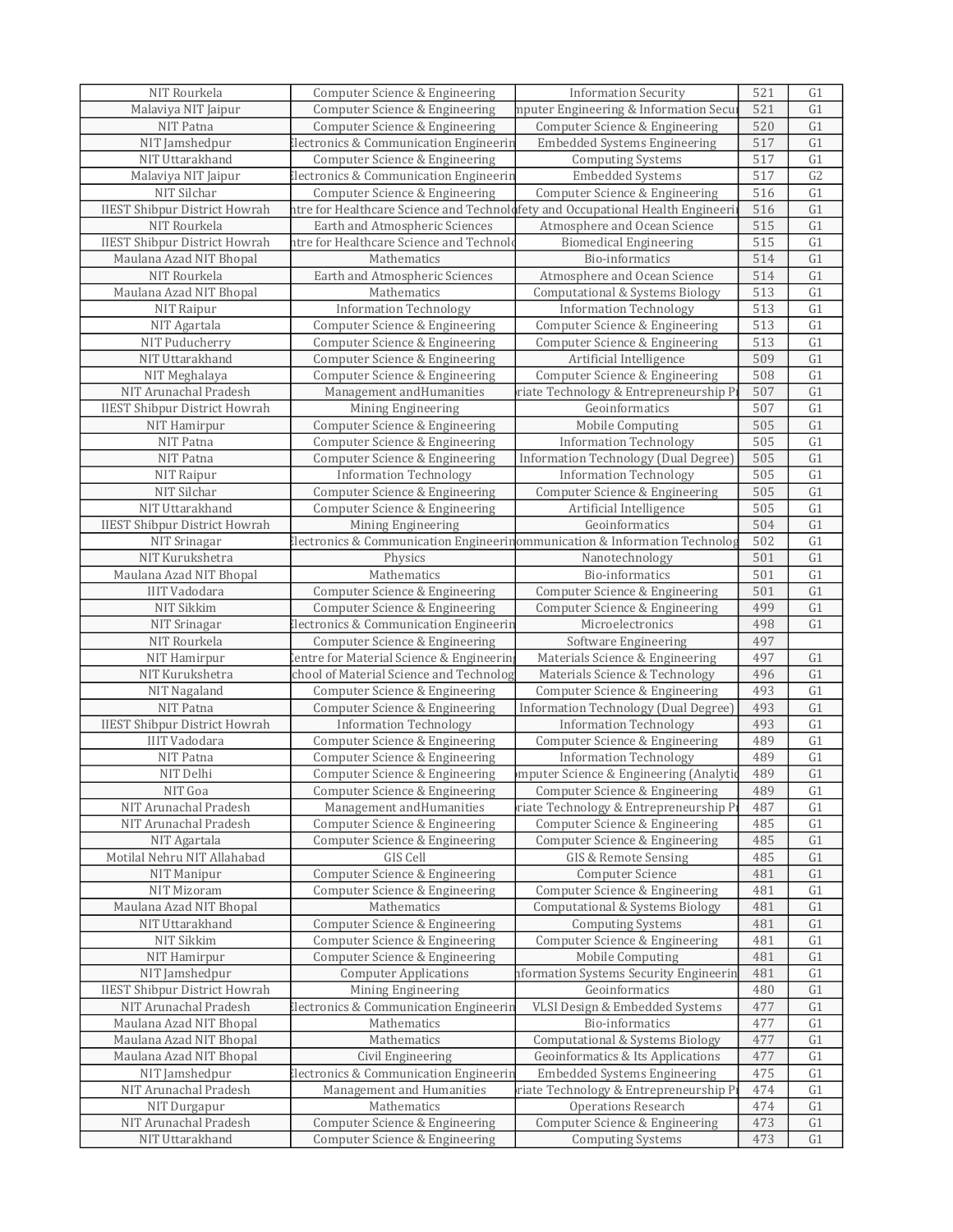| NIT Rourkela                         | Computer Science & Engineering                                                 | <b>Information Security</b>                                | 521        | G <sub>1</sub>       |
|--------------------------------------|--------------------------------------------------------------------------------|------------------------------------------------------------|------------|----------------------|
| Malaviya NIT Jaipur                  | Computer Science & Engineering                                                 | mputer Engineering & Information Secu                      | 521        | G1                   |
| NIT Patna                            | Computer Science & Engineering                                                 | Computer Science & Engineering                             | 520        | G1                   |
| NIT Jamshedpur                       | Electronics & Communication Engineerin                                         | <b>Embedded Systems Engineering</b>                        | 517        | G1                   |
| NIT Uttarakhand                      | Computer Science & Engineering                                                 | <b>Computing Systems</b>                                   | 517        | G1                   |
| Malaviya NIT Jaipur                  | Electronics & Communication Engineerin                                         | Embedded Systems                                           | 517        | G2                   |
| NIT Silchar                          | Computer Science & Engineering                                                 | Computer Science & Engineering                             | 516        | $\overline{G1}$      |
| <b>IIEST Shibpur District Howrah</b> | ntre for Healthcare Science and Technolofety and Occupational Health Engineeri |                                                            | 516        | G1                   |
| NIT Rourkela                         | Earth and Atmospheric Sciences                                                 | Atmosphere and Ocean Science                               | 515        | G1                   |
| <b>IIEST Shibpur District Howrah</b> | ntre for Healthcare Science and Technolo                                       | <b>Biomedical Engineering</b>                              | 515        | G1                   |
| Maulana Azad NIT Bhopal              | Mathematics                                                                    | Bio-informatics                                            | 514        | G1                   |
| NIT Rourkela                         | Earth and Atmospheric Sciences                                                 | Atmosphere and Ocean Science                               | 514        | G1                   |
| Maulana Azad NIT Bhopal              | Mathematics                                                                    | <b>Computational &amp; Systems Biology</b>                 | 513        | G1                   |
| NIT Raipur                           | <b>Information Technology</b>                                                  | <b>Information Technology</b>                              | 513        | G1                   |
| NIT Agartala                         | Computer Science & Engineering                                                 | Computer Science & Engineering                             | 513        | G1                   |
| NIT Puducherry                       | Computer Science & Engineering                                                 | Computer Science & Engineering                             | 513        | G1                   |
| NIT Uttarakhand                      | Computer Science & Engineering                                                 | Artificial Intelligence                                    | 509        | G1                   |
| NIT Meghalaya                        | Computer Science & Engineering                                                 | Computer Science & Engineering                             | 508        | G1                   |
| NIT Arunachal Pradesh                |                                                                                |                                                            |            | G1                   |
|                                      | Management and Humanities                                                      | riate Technology & Entrepreneurship P<br>Geoinformatics    | 507        | G1                   |
| <b>IIEST Shibpur District Howrah</b> | Mining Engineering                                                             |                                                            | 507        |                      |
| NIT Hamirpur                         | Computer Science & Engineering                                                 | Mobile Computing                                           | 505        | G1                   |
| NIT Patna                            | Computer Science & Engineering                                                 | <b>Information Technology</b>                              | 505        | G1                   |
| NIT Patna                            | Computer Science & Engineering                                                 | Information Technology (Dual Degree)                       | 505        | G1                   |
| NIT Raipur                           | <b>Information Technology</b>                                                  | <b>Information Technology</b>                              | 505        | G1                   |
| NIT Silchar                          | Computer Science & Engineering                                                 | Computer Science & Engineering                             | 505        | G1                   |
| NIT Uttarakhand                      | Computer Science & Engineering                                                 | Artificial Intelligence                                    | 505        | G1                   |
| <b>IIEST Shibpur District Howrah</b> | Mining Engineering                                                             | Geoinformatics                                             | 504        | G1                   |
| NIT Srinagar                         | lectronics & Communication Engineerinommunication & Information Technolog      |                                                            | 502        | G1                   |
| NIT Kurukshetra                      | Physics                                                                        | Nanotechnology                                             | 501        | G1                   |
| Maulana Azad NIT Bhopal              | Mathematics                                                                    | Bio-informatics                                            | 501        | G1                   |
| <b>IIIT Vadodara</b>                 | Computer Science & Engineering                                                 | Computer Science & Engineering                             | 501        | G1                   |
| NIT Sikkim                           | Computer Science & Engineering                                                 | Computer Science & Engineering                             | 499        | G1                   |
| NIT Srinagar                         | lectronics & Communication Engineerin                                          | Microelectronics                                           | 498        | G1                   |
| NIT Rourkela                         | Computer Science & Engineering                                                 | Software Engineering                                       | 497        |                      |
| NIT Hamirpur                         | entre for Material Science & Engineering                                       | Materials Science & Engineering                            | 497        | G1                   |
| NIT Kurukshetra                      | chool of Material Science and Technolog                                        | Materials Science & Technology                             | 496        | G1                   |
| NIT Nagaland                         | Computer Science & Engineering                                                 | Computer Science & Engineering                             | 493        | G1                   |
| NIT Patna                            | Computer Science & Engineering                                                 | Information Technology (Dual Degree)                       | 493        | G1                   |
| <b>IIEST Shibpur District Howrah</b> | <b>Information Technology</b>                                                  | <b>Information Technology</b>                              | 493        | $\overline{G1}$      |
| <b>IIIT Vadodara</b>                 | Computer Science & Engineering                                                 | Computer Science & Engineering                             | 489        | G1                   |
| NIT Patna                            | Computer Science & Engineering                                                 | <b>Information Technology</b>                              | 489        | G1                   |
| NIT Delhi                            | Computer Science & Engineering                                                 | mputer Science & Engineering (Analytic                     | 489        | $\overline{G1}$      |
| NIT Goa                              | Computer Science & Engineering                                                 | Computer Science & Engineering                             | 489        | G1                   |
| NIT Arunachal Pradesh                | Management and Humanities                                                      | riate Technology & Entrepreneurship Pi                     | 487        | G <sub>1</sub>       |
| NIT Arunachal Pradesh                | Computer Science & Engineering                                                 | Computer Science & Engineering                             | 485        | G <sub>1</sub>       |
| NIT Agartala                         | Computer Science & Engineering                                                 | Computer Science & Engineering                             | 485        | G <sub>1</sub>       |
| Motilal Nehru NIT Allahabad          | GIS Cell                                                                       | GIS & Remote Sensing                                       | 485        | G1                   |
| NIT Manipur                          | Computer Science & Engineering                                                 | Computer Science                                           | 481        | G1                   |
| NIT Mizoram                          | Computer Science & Engineering                                                 | Computer Science & Engineering                             | 481        | G1                   |
| Maulana Azad NIT Bhopal              | Mathematics                                                                    | <b>Computational &amp; Systems Biology</b>                 | 481        | G1                   |
| NIT Uttarakhand                      | Computer Science & Engineering                                                 | <b>Computing Systems</b>                                   | 481        | G <sub>1</sub>       |
| NIT Sikkim                           | Computer Science & Engineering                                                 | Computer Science & Engineering                             | 481        | G1                   |
| NIT Hamirpur                         | Computer Science & Engineering                                                 | Mobile Computing                                           | 481        | G1                   |
| NIT Jamshedpur                       | <b>Computer Applications</b>                                                   | nformation Systems Security Engineerin                     | 481        | G <sub>1</sub>       |
| <b>IIEST Shibpur District Howrah</b> | Mining Engineering                                                             | Geoinformatics                                             | 480        | G1                   |
| NIT Arunachal Pradesh                | Electronics & Communication Engineerin                                         | VLSI Design & Embedded Systems                             | 477        | G1                   |
| Maulana Azad NIT Bhopal              | Mathematics                                                                    | Bio-informatics                                            | 477        | G1                   |
| Maulana Azad NIT Bhopal              | Mathematics                                                                    | <b>Computational &amp; Systems Biology</b>                 | 477        | G <sub>1</sub>       |
| Maulana Azad NIT Bhopal              | Civil Engineering                                                              | Geoinformatics & Its Applications                          | 477        | G <sub>1</sub>       |
| NIT Jamshedpur                       | <b>Electronics &amp; Communication Engineerin</b>                              | <b>Embedded Systems Engineering</b>                        | 475        | G1                   |
| NIT Arunachal Pradesh                | Management and Humanities                                                      | riate Technology & Entrepreneurship Pi                     | 474        | G1                   |
| NIT Durgapur                         | Mathematics                                                                    | Operations Research                                        | 474        | G1                   |
| NIT Arunachal Pradesh                |                                                                                |                                                            |            |                      |
|                                      |                                                                                |                                                            |            |                      |
| NIT Uttarakhand                      | Computer Science & Engineering<br>Computer Science & Engineering               | Computer Science & Engineering<br><b>Computing Systems</b> | 473<br>473 | G <sub>1</sub><br>G1 |